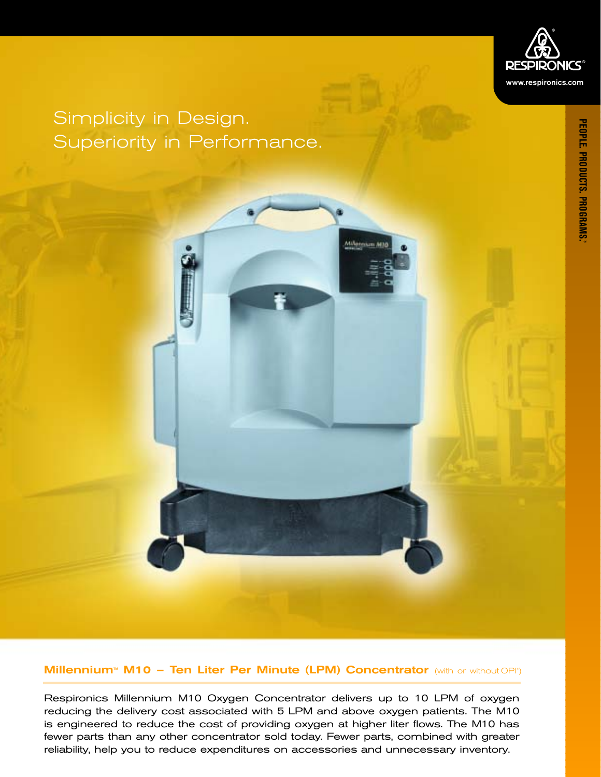

## Simplicity in Design. Superiority in Performance.

**Millennium<sup>™</sup> M10 - Ten Liter Per Minute (LPM) Concentrator** (with or without OPI<sup>®</sup>)

Respironics Millennium M10 Oxygen Concentrator delivers up to 10 LPM of oxygen reducing the delivery cost associated with 5 LPM and above oxygen patients. The M10 is engineered to reduce the cost of providing oxygen at higher liter flows. The M10 has fewer parts than any other concentrator sold today. Fewer parts, combined with greater reliability, help you to reduce expenditures on accessories and unnecessary inventory.